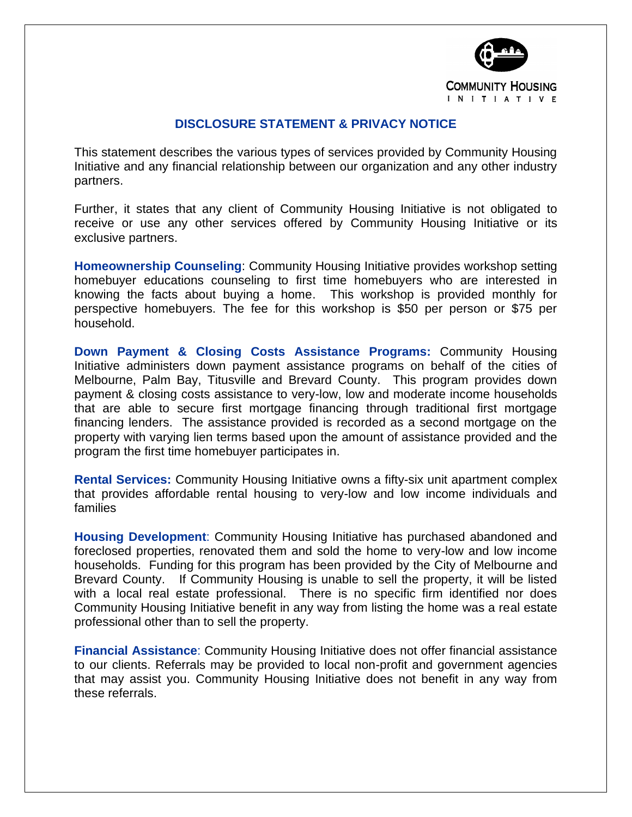

## **DISCLOSURE STATEMENT & PRIVACY NOTICE**

This statement describes the various types of services provided by Community Housing Initiative and any financial relationship between our organization and any other industry partners.

Further, it states that any client of Community Housing Initiative is not obligated to receive or use any other services offered by Community Housing Initiative or its exclusive partners.

**Homeownership Counseling**: Community Housing Initiative provides workshop setting homebuyer educations counseling to first time homebuyers who are interested in knowing the facts about buying a home. This workshop is provided monthly for perspective homebuyers. The fee for this workshop is \$50 per person or \$75 per household.

**Down Payment & Closing Costs Assistance Programs:** Community Housing Initiative administers down payment assistance programs on behalf of the cities of Melbourne, Palm Bay, Titusville and Brevard County. This program provides down payment & closing costs assistance to very-low, low and moderate income households that are able to secure first mortgage financing through traditional first mortgage financing lenders. The assistance provided is recorded as a second mortgage on the property with varying lien terms based upon the amount of assistance provided and the program the first time homebuyer participates in.

**Rental Services:** Community Housing Initiative owns a fifty-six unit apartment complex that provides affordable rental housing to very-low and low income individuals and families

**Housing Development**: Community Housing Initiative has purchased abandoned and foreclosed properties, renovated them and sold the home to very-low and low income households. Funding for this program has been provided by the City of Melbourne and Brevard County. If Community Housing is unable to sell the property, it will be listed with a local real estate professional. There is no specific firm identified nor does Community Housing Initiative benefit in any way from listing the home was a real estate professional other than to sell the property.

**Financial Assistance**: Community Housing Initiative does not offer financial assistance to our clients. Referrals may be provided to local non-profit and government agencies that may assist you. Community Housing Initiative does not benefit in any way from these referrals.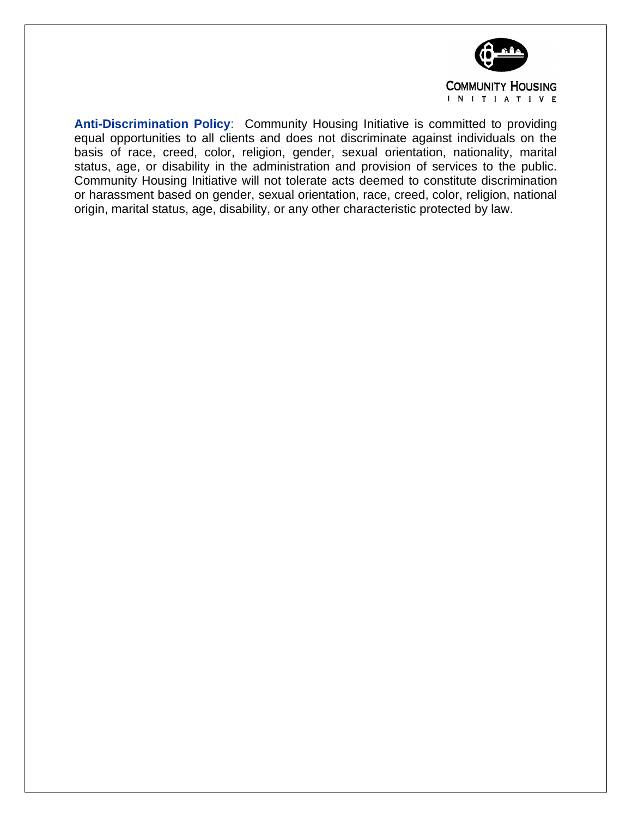

**Anti-Discrimination Policy**: Community Housing Initiative is committed to providing equal opportunities to all clients and does not discriminate against individuals on the basis of race, creed, color, religion, gender, sexual orientation, nationality, marital status, age, or disability in the administration and provision of services to the public. Community Housing Initiative will not tolerate acts deemed to constitute discrimination or harassment based on gender, sexual orientation, race, creed, color, religion, national origin, marital status, age, disability, or any other characteristic protected by law.